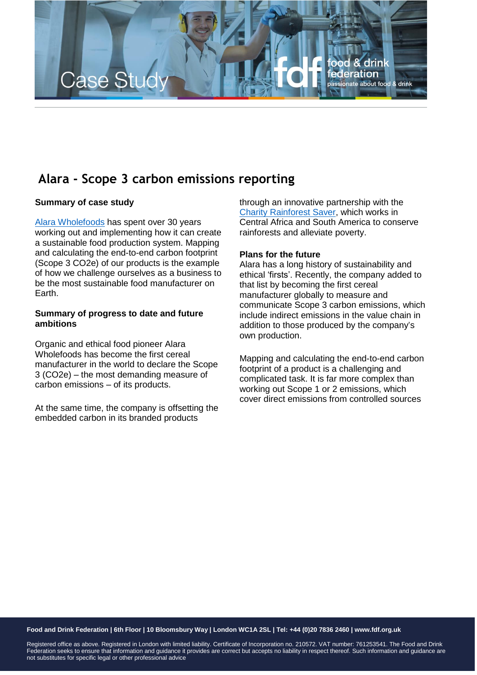

## **Alara - Scope 3 carbon emissions reporting**

## **Summary of case study**

Alara [Wholefoods](https://alara.co.uk/) has spent over 30 years working out and implementing how it can create a sustainable food production system. Mapping and calculating the end-to-end carbon footprint (Scope 3 CO2e) of our products is the example of how we challenge ourselves as a business to be the most sustainable food manufacturer on Earth.

## **Summary of progress to date and future ambitions**

Organic and ethical food pioneer Alara Wholefoods has become the first cereal manufacturer in the world to declare the Scope 3 (CO2e) – the most demanding measure of carbon emissions – of its products.

At the same time, the company is offsetting the embedded carbon in its branded products

through an innovative partnership with the Charity [Rainforest](https://www.rainforestsaver.org/) Saver, which works in Central Africa and South America to conserve rainforests and alleviate poverty.

## **Plans for the future**

Alara has a long history of sustainability and ethical 'firsts'. Recently, the company added to that list by becoming the first cereal manufacturer globally to measure and communicate Scope 3 carbon emissions, which include indirect emissions in the value chain in addition to those produced by the company's own production.

Mapping and calculating the end-to-end carbon footprint of a product is a challenging and complicated task. It is far more complex than working out Scope 1 or 2 emissions, which cover direct emissions from controlled sources

Food and Drink Federation | 6th Floor | 10 Bloomsbury Way | London WC1A 2SL | Tel: +44 (0)20 7836 2460 | www.fdf.org.uk

Registered office as above. Registered in London with limited liability. Certificate of Incorporation no. 210572. VAT number: 761253541. The Food and Drink Federation seeks to ensure that information and guidance it provides are correct but accepts no liability in respect thereof. Such information and guidance are not substitutes for specific legal or other professional advice